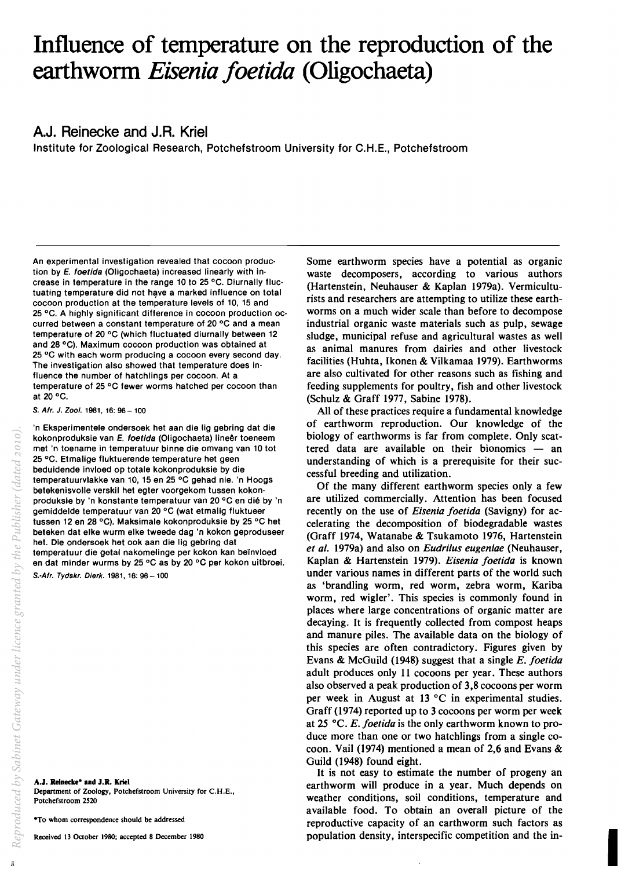# Influence of temperature on the reproduction of the earthworm *Eisenia foetida* (Oligochaeta)

# A.J. Reinecke and J.R. Kriel

Institute for Zoological Research, Potchefstroom University for C.H.E., Potchefstroom

An experimental investigation revealed that cocoon produc· tion by *E.* foetida (Oligochaeta) increased linearly with in· crease in temperature in the range 10 to 25 °C. Diurnally fluctuating temperature did not have a marked influence on total cocoon production at the temperature levels of 10, 15 and 25 °C. A highly significant difference in cocoon production occurred between a constant temperature of 20 °C and a mean temperature of 20  $\degree$ C (which fluctuated diurnally between 12 and 28 °C). Maximum cocoon production was obtained at  $25^{\circ}$ C with each worm producing a cocoon every second day. The investigation also showed that temperature does influence the number of hatchlings per cocoon. At a temperature of 25 °C fewer worms hatched per cocoon than at 20 $\,^{\circ}$ C.

S. Afr. J. Zool. 1981, 16: 96 - 100

'n Eksperimentele ondersoek het aan die lig gebring dat die kokonproduksie van E. foetida (Oligochaeta) lineêr toeneem met 'n toename in temperatuur binne die omvang van 10 tot 25 °C. Etmalige fluktuerende temperature het geen beduidende invloed op totale kokonproduksie by die temperatuurvlakke van 10, 15 en 25 °C gehad nie. 'n Hoogs betekenisvolle verskil het egter voorgekom tussen kokonproduksie by 'n konstante temperatuur van 20 °C en dié by 'n gemiddelde temperatuur van 20 °C (wat etmalig fluktueer tussen 12 en 28 °C). Maksimale kokonproduksie by 25 °C het beteken dat elke wurm elke tweede dag 'n kokon geproduseer het. Die ondersoek het ook aan die lig gebring dat temperatuur die getal nakomelinge per kokon kan be'invloed en dat minder wurms by 25 °C as by 20 °C per kokon uitbroei. S.-Afr. Tydskr. Dierk. 1981, 16: 96-100

A.J. Reinecke· and J.R. Kriel Department of Zoology, Potchefstroom University for C.H.E., Potchefstroom *2S20* 

·To whom correspondence should be addressed

Received 13 October 1980; accepted 8 December 1980

Some earthworm species have a potential as organic waste decomposers, according to various authors (Hartenstein, Neuhauser & Kaplan 1979a). Vermiculturists and researchers are attempting to utilize these earthworms on a much wider scale than before to decompose industrial organic waste materials such as pulp, sewage sludge, municipal refuse and agricultural wastes as well as animal manures from dairies and other livestock facilities (Huhta, Ikonen & Vilkamaa 1979). Earthworms are also cultivated for other reasons such as fishing and feeding supplements for poultry, fish and other livestock (Schulz & Graff 1977, Sabine 1978).

All of these practices require a fundamental knowledge of earthworm reproduction. Our knowledge of the biology of earthworms is far from complete. Only scattered data are available on their bionomics  $-$  an understanding of which is a prerequisite for their successful breeding and utilization.

Of the many different earthworm species only a few are utilized commercially. Attention has been focused recently on the use of *Eisenia joetida* (Savigny) for accelerating the decomposition of biodegradable wastes (Graff 1974, Watanabe & Tsukamoto 1976, Hartenstein *et al.* 1979a) and also on *Eudrilus eugeniae* (Neuhauser, Kaplan & Hartenstein 1979). *Eisenia joetida* is known under various names in different parts of the world such as 'brandling worm, red worm, zebra worm, Kariba worm, red wigler'. This species is commonly found in places where large concentrations of organic matter are decaying. It is frequently collected from compost heaps and manure piles. The available data on the biology of this species are often contradictory. Figures given by Evans & McGuild (1948) suggest that a single *E. joetida*  adult produces only 11 cocoons per year. These authors also observed a peak production of 3,8 cocoons per worm per week in August at 13  $\degree$ C in experimental studies. Graff (1974) reported up to 3 cocoons per worm per week at 25 °C. *E. foetida* is the only earthworm known to produce more than one or two hatchlings from a single cocoon. Vail (1974) mentioned a mean of 2,6 and Evans & Guild (1948) found eight.

It is not easy to estimate the number of progeny an earthworm will produce in a year. Much depends on weather conditions, soil conditions, temperature and available food. To obtain an overall picture of the reproductive capacity of an earthworm such factors as population density, interspecific competition and the in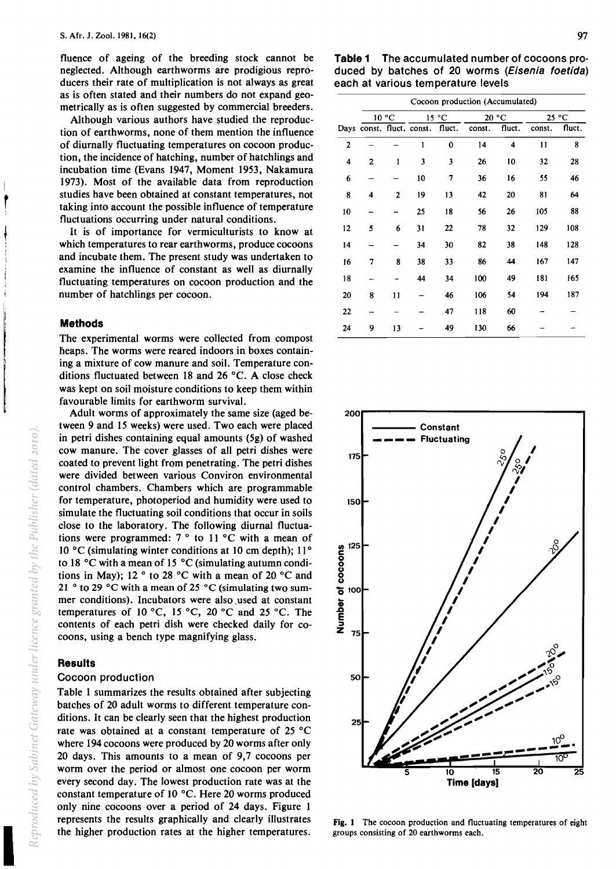fluence of ageing of the breeding stock cannot be neglected. Although earthworms are prodigious reproducers their rate of multiplication is not always as great as is often stated and their numbers do not expand geometrically as is often suggested by commercial breeders.

Although various authors have studied the reproduction of earthworms, none of them mention the influence of diurnally fluctuating temperatures on cocoon production, the incidence of hatching, number of hatchlings and incubation time (Evans 1947, Moment 1953, Nakamura 1973). Most of the available data from reproduction studies have been obtained at constant temperatures, not taking into account the possible influence of temperature fluctuations occurring under natural conditions.

It is of importance for vermiculturists to know at which temperatures to rear earthworms, produce cocoons and incubate them. The present study was undertaken to examine the influence of constant as well as diurnally fluctuating temperatures on cocoon production and the number of hatchlings per cocoon.

## **Methods**

The experimental worms were collected from compost heaps. The worms were reared indoors in boxes containing a mixture of cow manure and soil. Temperature conditions fluctuated between 18 and 26  $^{\circ}$ C. A close check was kept on soil moisture conditions to keep them within favourable limits for earthworm survival.

Adult worms of approximately the same size (aged between 9 and 15 weeks) were used. Two each were placed in petri dishes containing equal amounts (5g) of washed cow manure. The cover glasses of all petri dishes were coated to prevent light from penetrating. The petri dishes were divided between various Conviron environmental control chambers. Chambers which are programmable for temperature, photoperiod and humidity were used to simulate the fluctuating soil conditions that occur in soils close to the laboratory. The following diurnal fluctuations were programmed: 7 ° to 11°C with a mean of 10 °C (simulating winter conditions at 10 cm depth); 11 ° to 18°C with a mean of 15 °C (simulating autumn conditions in May); 12  $\degree$  to 28  $\degree$ C with a mean of 20  $\degree$ C and 21  $\degree$  to 29  $\degree$ C with a mean of 25  $\degree$ C (simulating two summer conditions). Incubators were also used at constant temperatures of 10 °C, 15 °C, 20 °C and 25 °C. The contents of each petri dish were checked daily for cocoons, using a bench type magnifying glass.

# **Results**

# Cocoon production

Table 1 summarizes the results obtained after subjecting batches of 20 adult worms to different temperature conditions. It can be clearly seen that the highest production rate was obtained at a constant temperature of 25°C where 194 cocoons were produced by 20 worms after only 20 days. This amounts to a mean of 9,7 cocoons per worm over the period or almost one cocoon per worm every second day. The lowest production rate was at the constant temperature of 10 °C. Here 20 worms produced only nine cocoons over a period of 24 days. Figure 1 represents the results graphically and clearly illustrates the higher production rates at the higher temperatures.

**Table 1** The accumulated number of cocoons produced by batches of 20 worms (Eisenia foetida) each at various temperature levels

|    | Cocoon production (Accumulated) |              |                           |          |        |        |        |        |  |  |
|----|---------------------------------|--------------|---------------------------|----------|--------|--------|--------|--------|--|--|
|    | 10 °C                           |              | 15 °C                     |          | 20 °C  |        | 25 °C  |        |  |  |
|    |                                 |              | Days const. fluct. const. | fluct.   | const. | fluct. | const. | fluct. |  |  |
| 2  |                                 |              | 1                         | $\bf{0}$ | 14     | 4      | 11     | 8      |  |  |
| 4  | 2                               | $\mathbf{1}$ | 3                         | 3        | 26     | 10     | 32     | 28     |  |  |
| 6  |                                 |              | 10                        | 7        | 36     | 16     | 55     | 46     |  |  |
| 8  | 4                               | 2            | 19                        | 13       | 42     | 20     | 81     | 64     |  |  |
| 10 |                                 |              | 25                        | 18       | 56     | 26     | 105    | 88     |  |  |
| 12 | 5                               | 6            | 31                        | 22       | 78     | 32     | 129    | 108    |  |  |
| 14 |                                 |              | 34                        | 30       | 82     | 38     | 148    | 128    |  |  |
| 16 | 7                               | 8            | 38                        | 33       | 86     | 44     | 167    | 147    |  |  |
| 18 |                                 |              | 44                        | 34       | 100    | 49     | 181    | 165    |  |  |
| 20 | 8                               | 11           |                           | 46       | 106    | 54     | 194    | 187    |  |  |
| 22 |                                 |              |                           | 47       | 118    | 60     |        |        |  |  |
| 24 | 9                               | 13           |                           | 49       | 130    | 66     |        |        |  |  |



Fig. 1 The cocoon production and fluctuating temperatures of eight groups consisting of 20 earthworms each.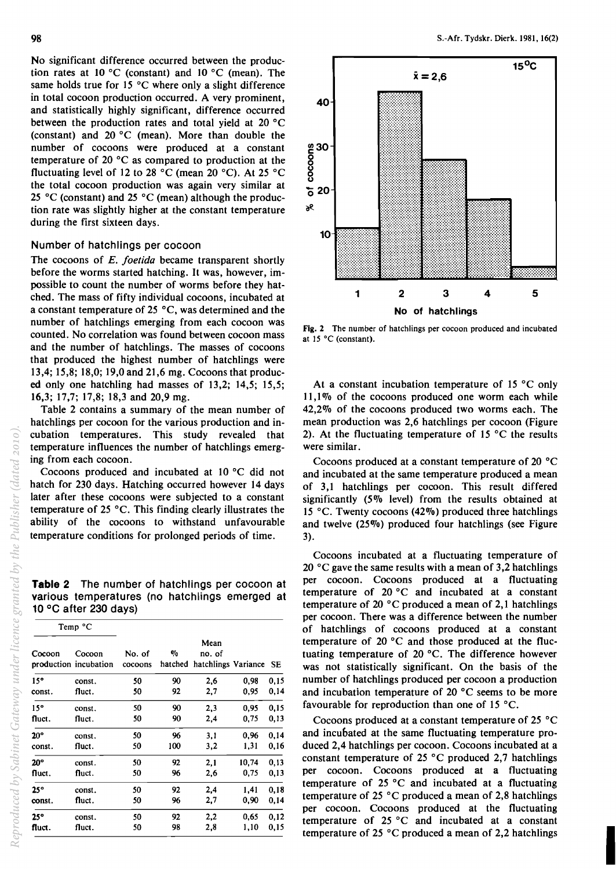No significant difference occurred between the production rates at 10 °C (constant) and 10 °C (mean). The same holds true for 15 °C where only a slight difference in total cocoon production occurred. A very prominent, and statistically highly significant, difference occurred between the production rates and total yield at 20°C (constant) and 20 °C (mean). More than double the number of cocoons were produced at a constant temperature of 20°C as compared to production at the fluctuating level of 12 to 28 °C (mean 20 °C). At 25 °C the total cocoon production was again very similar at 25 °C (constant) and 25 °C (mean) although the production rate was slightly higher at the constant temperature during the first sixteen days.

# Number of hatchlings per cocoon

The cocoons of *E. joetida* became transparent shortly before the worms started hatching. It was, however, impossible to count the number of worms before they hatched. The mass of fifty individual cocoons, incubated at a constant temperature of 25°C, was determined and the number of hatchlings emerging from each cocoon was counted. No correlation was found between cocoon mass and the number of hatchlings. The masses of cocoons that produced the highest number of hatchlings were 13,4; 15,8; 18,0; 19,0 and 21,6 mg. Cocoons that produced only one hatchling had masses of 13,2; 14,5; 15,5; 16,3; 17,7; 17,8; 18,3 and 20,9 mg.

Table 2 contains a summary of the mean number of hatchlings per cocoon for the various production and incubation temperatures. This study revealed that temperature influences the number of hatchlings emerging from each cocoon.

Cocoons produced and incubated at 10°C did not hatch for 230 days. Hatching occurred however i4 days later after these cocoons were subjected to a constant temperature of 25°C. This finding clearly illustrates the ability of the cocoons to withstand unfavourable temperature conditions for prolonged periods of time.

**Table 2** The number of hatchlings per cocoon at various temperatures (no hatchlings emerged at 10°C after 230 days)

| Cocoon       | Cocoon<br>production incubation | No. of<br>cocoons | $\eta_0$ | Mean<br>no. of<br>hatched hatchlings Variance SE |       |      |
|--------------|---------------------------------|-------------------|----------|--------------------------------------------------|-------|------|
| $15^{\circ}$ | const.                          | 50                | 90       | 2.6                                              | 0,98  | 0,15 |
| const.       | fluct.                          | 50                | 92       | 2,7                                              | 0,95  | 0,14 |
| 15°          | const.                          | 50                | 90       | 2,3                                              | 0.95  | 0,15 |
| fluct.       | fluct.                          | 50                | 90       | 2,4                                              | 0,75  | 0,13 |
| $20^{\circ}$ | const.                          | 50                | 96       | 3.1                                              | 0.96  | 0.14 |
| const.       | fluct.                          | 50                | 100      | 3,2                                              | 1,31  | 0.16 |
| $20^{\circ}$ | const.                          | 50                | 92       | 2,1                                              | 10,74 | 0,13 |
| fluct.       | fluct.                          | 50                | 96       | 2,6                                              | 0,75  | 0,13 |
| 25°          | const.                          | 50                | 92       | 2,4                                              | 1.41  | 0.18 |
| const.       | fluct.                          | 50                | 96       | 2.7                                              | 0,90  | 0,14 |
| 25°          | const.                          | 50                | 92       | 2,2                                              | 0.65  | 0,12 |
| fluct.       | fluct.                          | 50                | 98       | 2,8                                              | 1,10  | 0,15 |



Fig. 2 The number of hatchlings per cocoon produced and incubated at 15°C (constant).

At a constant incubation temperature of 15 °C only 11,10/0 of the cocoons produced one worm each while 42,2% of the cocoons produced two worms each. The mean production was 2,6 hatchlings per cocoon (Figure 2). At the fluctuating temperature of 15  $^{\circ}$ C the results were similar.

Cocoons produced at a constant temperature of 20°C and incubated at the same temperature produced a mean of 3,1 hatchlings per cocoon. This result differed significantly (5% level) from the results obtained at 15 °C. Twenty cocoons (42%) produced three hatchlings and twelve (25%) produced four hatchlings (see Figure 3).

Cocoons incubated at a fluctuating temperature of 20°C gave the same results with a mean of 3,2 hatchlings per cocoon. Cocoons produced at a fluctuating temperature of 20 °C and incubated at a constant temperature of 20°C produced a mean of 2,1 hatchlings per cocoon. There was a difference between the number of hatchlings of cocoons produced at a constant temperature of 20°C and those produced at the fluctuating temperature of 20  $^{\circ}$ C. The difference however was not statistically significant. On the basis of the number of hatchlings produced per cocoon a production and incubation temperature of 20 °C seems to be more favourable for reproduction than one of 15  $^{\circ}$ C.

Cocoons produced at a constant temperature of 25°C and incubated at the same fluctuating temperature produced 2,4 hatchlings per cocoon. Cocoons incubated at a constant temperature of 25 °C produced 2,7 hatchlings per cocoon. Cocoons produced at a fluctuating temperature of  $25\text{ °C}$  and incubated at a fluctuating temperature of 25  $^{\circ}$ C produced a mean of 2,8 hatchlings per cocoon. Cocoons produced at the fluctuating temperature of 25°C and incubated at a constant temperature of 25  $\degree$ C produced a mean of 2,2 hatchlings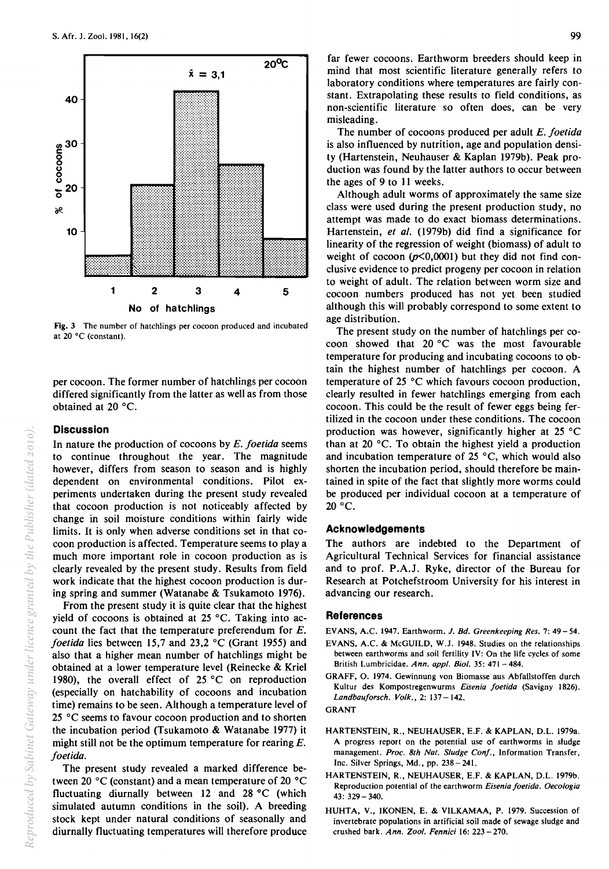

Fig. 3 The number of hatchlings per cocoon produced and incubated at 20°C (constant).

per cocoon. The former number of hatchlings per cocoon differed significantly from the latter as well as from those obtained at  $20^{\circ}$ C.

# **Discussion**

In nature the production of cocoons by *E. foetida* seems to continue throughout the year. The magnitude however, differs from season to season and is highly dependent on environmental conditions. Pilot experiments undertaken during the present study revealed that cocoon production is not noticeably affected by change in soil moisture conditions within fairly wide limits. It is only when adverse conditions set in that cocoon production is affected. Temperature seems to playa much more important role in cocoon production as is clearly revealed by the present study. Results from field work indicate that the highest cocoon production is during spring and summer (Watanabe & Tsukamoto 1976).

From the present study it is quite clear that the highest yield of cocoons is obtained at 25°C. Taking into account the fact that the temperature preferendum for E. *foetida* lies between 15,7 and 23,2 °C (Grant 1955) and also that a higher mean number of hatchlings might be obtained at a lower temperature level (Reinecke & Kriel 1980), the overall effect of 25°C on reproduction (especially on hatchability of cocoons and incubation time) remains to be seen. Although a temperature level of 25°C seems to favour cocoon production and to shorten the incubation period (Tsukamoto & Watanabe 1977) it might still not be the optimum temperature for rearing  $E$ . *foetida.* 

The present study revealed a marked difference between 20°C (constant) and a mean temperature of 20 °C fluctuating diurnally between 12 and 28°C (which simulated autumn conditions in the soil). A breeding stock kept under natural conditions of seasonally and diurnally fluctuating temperatures will therefore produce far fewer cocoons. Earthworm breeders should keep in mind that most scientific literature generally refers to laboratory conditions where temperatures are fairly constant. Extrapolating these results to field conditions, as non-scientific literature so often does, can be very misleading.

The number of cocoons produced per adult *E. foetida*  is also influenced by nutrition, age and population density (Hartenstein, Neuhauser & Kaplan 1979b). Peak production was found by the latter authors to occur between the ages of 9 to II weeks.

Although adult worms of approximately the same size class were used during the present production study, no attempt was made to do exact biomass determinations. Hartenstein, et al. (1979b) did find a significance for linearity of the regression of weight (biomass) of adult to weight of cocoon  $(p<0,0001)$  but they did not find conclusive evidence to predict progeny per cocoon in relation to weight of adult. The relation between worm size and cocoon numbers produced has not yet been studied although this will probably correspond to some extent to age distribution.

The present study on the number of hatchlings per cocoon showed that 20°C was the most favourable temperature for producing and incubating cocoons to obtain the highest number of hatchlings per cocoon. A temperature of 25 °C which favours cocoon production, clearly resulted in fewer hatchlings emerging from each cocoon. This could be the result of fewer eggs being fertilized in the cocoon under these conditions. The cocoon production was however, significantly higher at 25°C than at 20 $\degree$ C. To obtain the highest yield a production and incubation temperature of 25  $^{\circ}$ C, which would also shorten the incubation period, should therefore be maintained in spite of the fact that slightly more worms could be produced per individual cocoon at a temperature of  $20 °C$ .

## Acknowledgements

The authors are indebted to the Department of Agricultural Technical Services for financial assistance and to prof. P.A.J. Ryke, director of the Bureau for Research at Potchefstroom University for his interest in advancing our research.

## References

- EVANS, A.C. 1947. Earthworm. J. *Bd. Greenkeeping Res.* 7: 49 54. EVANS, A.C. & McGUILD, W.J. 1948. Studies on the relationships between earthworms and soil fertility IV: On the life cycles of some British Lumbricidae. *Ann. appl. Bioi.* 35: 471 - 484.
- GRAFF, O. 1974. Gewinnung von Biomasse aus Abfallstoffen durch Kultur des Kompostregenwurms *Eisenia foetida* (Savigny 1826). *Landbauforsch. Volk.,* 2: 137 - 142.

## GRANT

- HARTENSTEIN, R., NEUHAUSER, E.F. & KAPLAN, D.L. 1979a. A progress report on the potential use of earthworms in sludge management. *Proc. 8th Nat. Sludge Conf.,* Information Transfer, Inc. Silver Springs, Md., pp. 238 - 241.
- HARTENSTEIN, R., NEUHAUSER, E.F. & KAPLAN, D.L. 1979b. Reproduction potential of the earthworm *Eisenia foetida. Oecologia*  43: 329-340.
- HUHTA, V., IKONEN, E. & VILKAMAA, P. 1979. Succession of invertebrate populations in artificial soil made of sewage sludge and crushed bark. *Ann. Zool. Fennici* 16: 223 - 270.